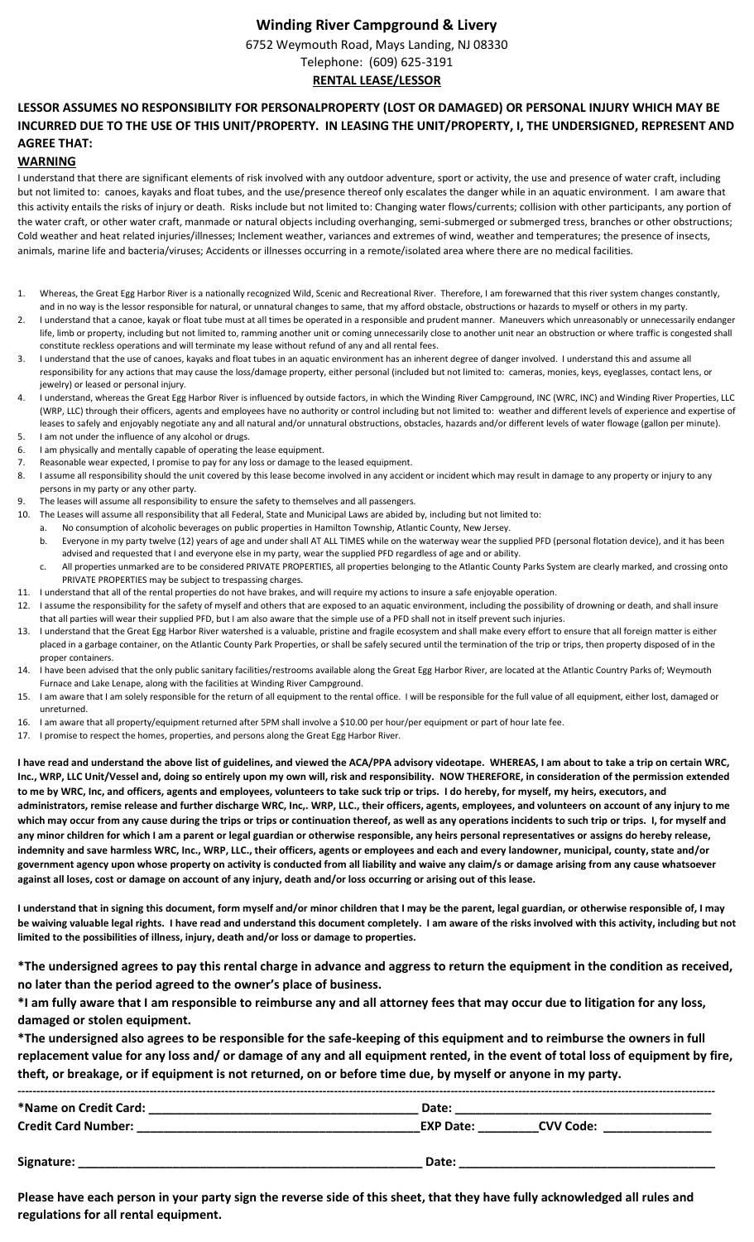### **Winding River Campground & Livery**

6752 Weymouth Road, Mays Landing, NJ 08330

#### Telephone: (609) 625-3191 **RENTAL LEASE/LESSOR**

# **LESSOR ASSUMES NO RESPONSIBILITY FOR PERSONALPROPERTY (LOST OR DAMAGED) OR PERSONAL INJURY WHICH MAY BE INCURRED DUE TO THE USE OF THIS UNIT/PROPERTY. IN LEASING THE UNIT/PROPERTY, I, THE UNDERSIGNED, REPRESENT AND AGREE THAT:**

#### **WARNING**

I understand that there are significant elements of risk involved with any outdoor adventure, sport or activity, the use and presence of water craft, including but not limited to: canoes, kayaks and float tubes, and the use/presence thereof only escalates the danger while in an aquatic environment. I am aware that this activity entails the risks of injury or death. Risks include but not limited to: Changing water flows/currents; collision with other participants, any portion of the water craft, or other water craft, manmade or natural objects including overhanging, semi-submerged or submerged tress, branches or other obstructions; Cold weather and heat related injuries/illnesses; Inclement weather, variances and extremes of wind, weather and temperatures; the presence of insects, animals, marine life and bacteria/viruses; Accidents or illnesses occurring in a remote/isolated area where there are no medical facilities.

- 1. Whereas, the Great Egg Harbor River is a nationally recognized Wild, Scenic and Recreational River. Therefore, I am forewarned that this river system changes constantly, and in no way is the lessor responsible for natural, or unnatural changes to same, that my afford obstacle, obstructions or hazards to myself or others in my party.
- 2. I understand that a canoe, kayak or float tube must at all times be operated in a responsible and prudent manner. Maneuvers which unreasonably or unnecessarily endanger life, limb or property, including but not limited to, ramming another unit or coming unnecessarily close to another unit near an obstruction or where traffic is congested shall constitute reckless operations and will terminate my lease without refund of any and all rental fees.
- 3. I understand that the use of canoes, kayaks and float tubes in an aquatic environment has an inherent degree of danger involved. I understand this and assume all responsibility for any actions that may cause the loss/damage property, either personal (included but not limited to: cameras, monies, keys, eyeglasses, contact lens, or jewelry) or leased or personal injury.
- 4. I understand, whereas the Great Egg Harbor River is influenced by outside factors, in which the Winding River Campground, INC (WRC, INC) and Winding River Properties, LLC (WRP, LLC) through their officers, agents and employees have no authority or control including but not limited to: weather and different levels of experience and expertise of leases to safely and enjoyably negotiate any and all natural and/or unnatural obstructions, obstacles, hazards and/or different levels of water flowage (gallon per minute).
- 5. I am not under the influence of any alcohol or drugs.
- 6. I am physically and mentally capable of operating the lease equipment.
- 7. Reasonable wear expected, I promise to pay for any loss or damage to the leased equipment.
- 8. I assume all responsibility should the unit covered by this lease become involved in any accident or incident which may result in damage to any property or injury to any persons in my party or any other party.
- The leases will assume all responsibility to ensure the safety to themselves and all passengers.
- 10. The Leases will assume all responsibility that all Federal, State and Municipal Laws are abided by, including but not limited to:
- No consumption of alcoholic beverages on public properties in Hamilton Township, Atlantic County, New Jersey.
	- b. Everyone in my party twelve (12) years of age and under shall AT ALL TIMES while on the waterway wear the supplied PFD (personal flotation device), and it has been advised and requested that I and everyone else in my party, wear the supplied PFD regardless of age and or ability.
- c. All properties unmarked are to be considered PRIVATE PROPERTIES, all properties belonging to the Atlantic County Parks System are clearly marked, and crossing onto PRIVATE PROPERTIES may be subject to trespassing charges.
- 11. I understand that all of the rental properties do not have brakes, and will require my actions to insure a safe enjoyable operation.
- 12. I assume the responsibility for the safety of myself and others that are exposed to an aquatic environment, including the possibility of drowning or death, and shall insure that all parties will wear their supplied PFD, but I am also aware that the simple use of a PFD shall not in itself prevent such injuries.
- 13. I understand that the Great Egg Harbor River watershed is a valuable, pristine and fragile ecosystem and shall make every effort to ensure that all foreign matter is either placed in a garbage container, on the Atlantic County Park Properties, or shall be safely secured until the termination of the trip or trips, then property disposed of in the proper containers.
- I have been advised that the only public sanitary facilities/restrooms available along the Great Egg Harbor River, are located at the Atlantic Country Parks of; Weymouth Furnace and Lake Lenape, along with the facilities at Winding River Campground.
- 15. I am aware that I am solely responsible for the return of all equipment to the rental office. I will be responsible for the full value of all equipment, either lost, damaged or unreturned.
- 16. I am aware that all property/equipment returned after 5PM shall involve a \$10.00 per hour/per equipment or part of hour late fee.
- 17. I promise to respect the homes, properties, and persons along the Great Egg Harbor River.

**I have read and understand the above list of guidelines, and viewed the ACA/PPA advisory videotape. WHEREAS, I am about to take a trip on certain WRC, Inc., WRP, LLC Unit/Vessel and, doing so entirely upon my own will, risk and responsibility. NOW THEREFORE, in consideration of the permission extended to me by WRC, Inc, and officers, agents and employees, volunteers to take suck trip or trips. I do hereby, for myself, my heirs, executors, and administrators, remise release and further discharge WRC, Inc,. WRP, LLC., their officers, agents, employees, and volunteers on account of any injury to me which may occur from any cause during the trips or trips or continuation thereof, as well as any operations incidents to such trip or trips. I, for myself and any minor children for which I am a parent or legal guardian or otherwise responsible, any heirs personal representatives or assigns do hereby release, indemnity and save harmless WRC, Inc., WRP, LLC., their officers, agents or employees and each and every landowner, municipal, county, state and/or government agency upon whose property on activity is conducted from all liability and waive any claim/s or damage arising from any cause whatsoever against all loses, cost or damage on account of any injury, death and/or loss occurring or arising out of this lease.**

**I understand that in signing this document, form myself and/or minor children that I may be the parent, legal guardian, or otherwise responsible of, I may be waiving valuable legal rights. I have read and understand this document completely. I am aware of the risks involved with this activity, including but not limited to the possibilities of illness, injury, death and/or loss or damage to properties.**

**\*The undersigned agrees to pay this rental charge in advance and aggress to return the equipment in the condition as received, no later than the period agreed to the owner's place of business.** 

**\*I am fully aware that I am responsible to reimburse any and all attorney fees that may occur due to litigation for any loss, damaged or stolen equipment.**

**\*The undersigned also agrees to be responsible for the safe-keeping of this equipment and to reimburse the owners in full replacement value for any loss and/ or damage of any and all equipment rented, in the event of total loss of equipment by fire, theft, or breakage, or if equipment is not returned, on or before time due, by myself or anyone in my party.**

| *Name on Credit Card:      | Date:                                |
|----------------------------|--------------------------------------|
| <b>Credit Card Number:</b> | <b>EXP Date:</b><br><b>CVV Code:</b> |
| Signature:                 | Date:                                |

**Please have each person in your party sign the reverse side of this sheet, that they have fully acknowledged all rules and regulations for all rental equipment.**